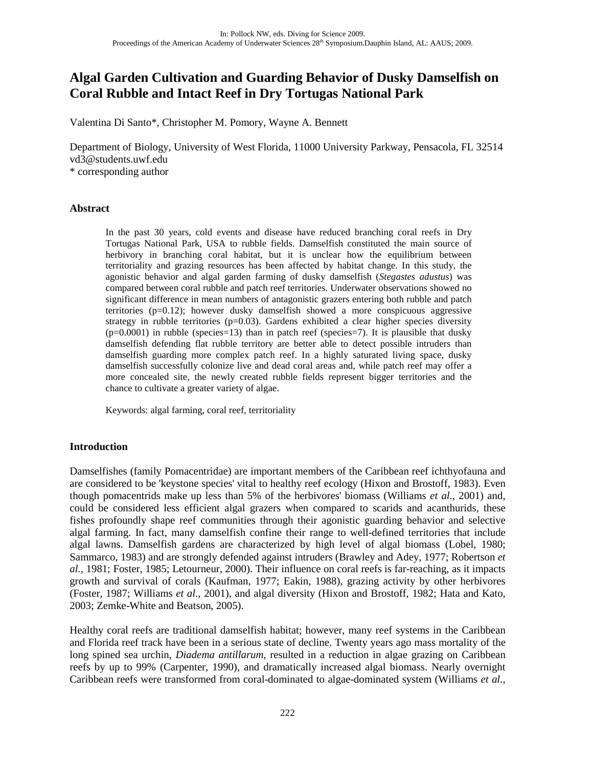# **Algal Garden Cultivation and Guarding Behavior of Dusky Damselfish on Coral Rubble and Intact Reef in Dry Tortugas National Park**

Valentina Di Santo\*, Christopher M. Pomory, Wayne A. Bennett

Department of Biology, University of West Florida, 11000 University Parkway, Pensacola, FL 32514 vd3@students.uwf.edu \* corresponding author

**Abstract**

In the past 30 years, cold events and disease have reduced branching coral reefs in Dry Tortugas National Park, USA to rubble fields. Damselfish constituted the main source of herbivory in branching coral habitat, but it is unclear how the equilibrium between territoriality and grazing resources has been affected by habitat change. In this study, the agonistic behavior and algal garden farming of dusky damselfish (*Stegastes adustus*) was compared between coral rubble and patch reef territories. Underwater observations showed no significant difference in mean numbers of antagonistic grazers entering both rubble and patch territories (p=0.12); however dusky damselfish showed a more conspicuous aggressive strategy in rubble territories  $(p=0.03)$ . Gardens exhibited a clear higher species diversity  $(p=0.0001)$  in rubble (species=13) than in patch reef (species=7). It is plausible that dusky damselfish defending flat rubble territory are better able to detect possible intruders than damselfish guarding more complex patch reef. In a highly saturated living space, dusky damselfish successfully colonize live and dead coral areas and, while patch reef may offer a more concealed site, the newly created rubble fields represent bigger territories and the chance to cultivate a greater variety of algae.

Keywords: algal farming, coral reef, territoriality

## **Introduction**

Damselfishes (family Pomacentridae) are important members of the Caribbean reef ichthyofauna and are considered to be 'keystone species' vital to healthy reef ecology (Hixon and Brostoff, 1983). Even though pomacentrids make up less than 5% of the herbivores' biomass (Williams *et al.*, 2001) and, could be considered less efficient algal grazers when compared to scarids and acanthurids, these fishes profoundly shape reef communities through their agonistic guarding behavior and selective algal farming. In fact, many damselfish confine their range to well-defined territories that include algal lawns. Damselfish gardens are characterized by high level of algal biomass (Lobel, 1980; Sammarco, 1983) and are strongly defended against intruders (Brawley and Adey, 1977; Robertson *et al.*, 1981; Foster, 1985; Letourneur, 2000). Their influence on coral reefs is far-reaching, as it impacts growth and survival of corals (Kaufman, 1977; Eakin, 1988), grazing activity by other herbivores (Foster, 1987; Williams *et al.*, 2001), and algal diversity (Hixon and Brostoff, 1982; Hata and Kato, 2003; Zemke-White and Beatson, 2005).

Healthy coral reefs are traditional damselfish habitat; however, many reef systems in the Caribbean and Florida reef track have been in a serious state of decline. Twenty years ago mass mortality of the long spined sea urchin, *Diadema antillarum*, resulted in a reduction in algae grazing on Caribbean reefs by up to 99% (Carpenter, 1990), and dramatically increased algal biomass. Nearly overnight Caribbean reefs were transformed from coral-dominated to algae-dominated system (Williams *et al.*,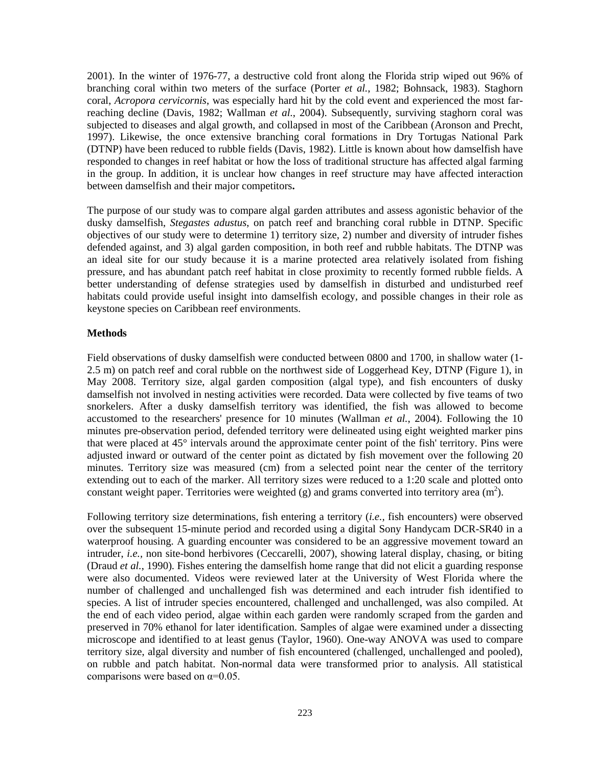2001). In the winter of 1976-77, a destructive cold front along the Florida strip wiped out 96% of branching coral within two meters of the surface (Porter *et al.*, 1982; Bohnsack, 1983). Staghorn coral, *Acropora cervicornis*, was especially hard hit by the cold event and experienced the most farreaching decline (Davis, 1982; Wallman *et al.*, 2004). Subsequently, surviving staghorn coral was subjected to diseases and algal growth, and collapsed in most of the Caribbean (Aronson and Precht, 1997). Likewise, the once extensive branching coral formations in Dry Tortugas National Park (DTNP) have been reduced to rubble fields (Davis, 1982). Little is known about how damselfish have responded to changes in reef habitat or how the loss of traditional structure has affected algal farming in the group. In addition, it is unclear how changes in reef structure may have affected interaction between damselfish and their major competitors**.**

The purpose of our study was to compare algal garden attributes and assess agonistic behavior of the dusky damselfish, *Stegastes adustus*, on patch reef and branching coral rubble in DTNP. Specific objectives of our study were to determine 1) territory size, 2) number and diversity of intruder fishes defended against, and 3) algal garden composition, in both reef and rubble habitats. The DTNP was an ideal site for our study because it is a marine protected area relatively isolated from fishing pressure, and has abundant patch reef habitat in close proximity to recently formed rubble fields. A better understanding of defense strategies used by damselfish in disturbed and undisturbed reef habitats could provide useful insight into damselfish ecology, and possible changes in their role as keystone species on Caribbean reef environments.

## **Methods**

Field observations of dusky damselfish were conducted between 0800 and 1700, in shallow water (1- 2.5 m) on patch reef and coral rubble on the northwest side of Loggerhead Key, DTNP (Figure 1), in May 2008. Territory size, algal garden composition (algal type), and fish encounters of dusky damselfish not involved in nesting activities were recorded. Data were collected by five teams of two snorkelers. After a dusky damselfish territory was identified, the fish was allowed to become accustomed to the researchers' presence for 10 minutes (Wallman *et al.*, 2004). Following the 10 minutes pre-observation period, defended territory were delineated using eight weighted marker pins that were placed at 45° intervals around the approximate center point of the fish' territory. Pins were adjusted inward or outward of the center point as dictated by fish movement over the following 20 minutes. Territory size was measured (cm) from a selected point near the center of the territory extending out to each of the marker. All territory sizes were reduced to a 1:20 scale and plotted onto constant weight paper. Territories were weighted (g) and grams converted into territory area  $(m^2)$ .

Following territory size determinations, fish entering a territory (*i.e.,* fish encounters) were observed over the subsequent 15-minute period and recorded using a digital Sony Handycam DCR-SR40 in a waterproof housing. A guarding encounter was considered to be an aggressive movement toward an intruder, *i.e.,* non site-bond herbivores (Ceccarelli, 2007), showing lateral display, chasing, or biting (Draud *et al.*, 1990). Fishes entering the damselfish home range that did not elicit a guarding response were also documented. Videos were reviewed later at the University of West Florida where the number of challenged and unchallenged fish was determined and each intruder fish identified to species. A list of intruder species encountered, challenged and unchallenged, was also compiled. At the end of each video period, algae within each garden were randomly scraped from the garden and preserved in 70% ethanol for later identification. Samples of algae were examined under a dissecting microscope and identified to at least genus (Taylor, 1960). One-way ANOVA was used to compare territory size, algal diversity and number of fish encountered (challenged, unchallenged and pooled), on rubble and patch habitat. Non-normal data were transformed prior to analysis. All statistical comparisons were based on  $\alpha$ =0.05.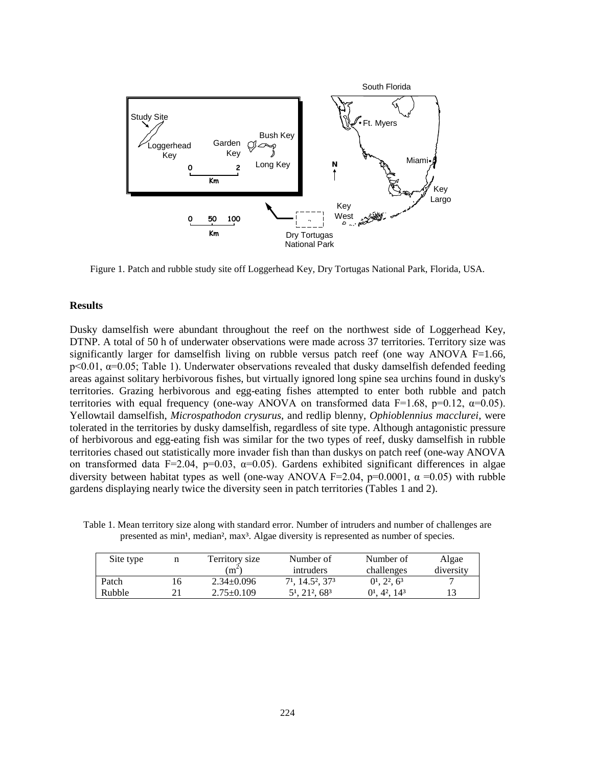

Figure 1. Patch and rubble study site off Loggerhead Key, Dry Tortugas National Park, Florida, USA.

#### **Results**

Dusky damselfish were abundant throughout the reef on the northwest side of Loggerhead Key, DTNP. A total of 50 h of underwater observations were made across 37 territories. Territory size was significantly larger for damselfish living on rubble versus patch reef (one way ANOVA F=1.66,  $p<0.01$ ,  $\alpha=0.05$ ; Table 1). Underwater observations revealed that dusky damselfish defended feeding areas against solitary herbivorous fishes, but virtually ignored long spine sea urchins found in dusky's territories. Grazing herbivorous and egg-eating fishes attempted to enter both rubble and patch territories with equal frequency (one-way ANOVA on transformed data F=1.68, p=0.12,  $\alpha$ =0.05). Yellowtail damselfish, *Microspathodon crysurus*, and redlip blenny, *Ophioblennius macclurei*, were tolerated in the territories by dusky damselfish, regardless of site type. Although antagonistic pressure of herbivorous and egg-eating fish was similar for the two types of reef, dusky damselfish in rubble territories chased out statistically more invader fish than than duskys on patch reef (one-way ANOVA on transformed data F=2.04, p=0.03,  $\alpha$ =0.05). Gardens exhibited significant differences in algae diversity between habitat types as well (one-way ANOVA F=2.04, p=0.0001,  $\alpha$  =0.05) with rubble gardens displaying nearly twice the diversity seen in patch territories (Tables 1 and 2).

Table 1. Mean territory size along with standard error. Number of intruders and number of challenges are presented as min<sup>1</sup>, median<sup>2</sup>, max<sup>3</sup>. Algae diversity is represented as number of species.

| Site type |    | Territory size<br>$\cdot$ m $\tilde{}}$ | Number of<br>intruders                               | Number of<br>challenges                 | Algae<br>diversity |
|-----------|----|-----------------------------------------|------------------------------------------------------|-----------------------------------------|--------------------|
| Patch     | 16 | $2.34 + 0.096$                          | 7 <sup>1</sup> , 14.5 <sup>2</sup> , 37 <sup>3</sup> | $0^1$ , $2^2$ , $6^3$                   |                    |
| Rubble    |    | $2.75 \pm 0.109$                        | 5 <sup>1</sup> , 21 <sup>2</sup> , 68 <sup>3</sup>   | $01$ , 4 <sup>2</sup> , 14 <sup>3</sup> | 13                 |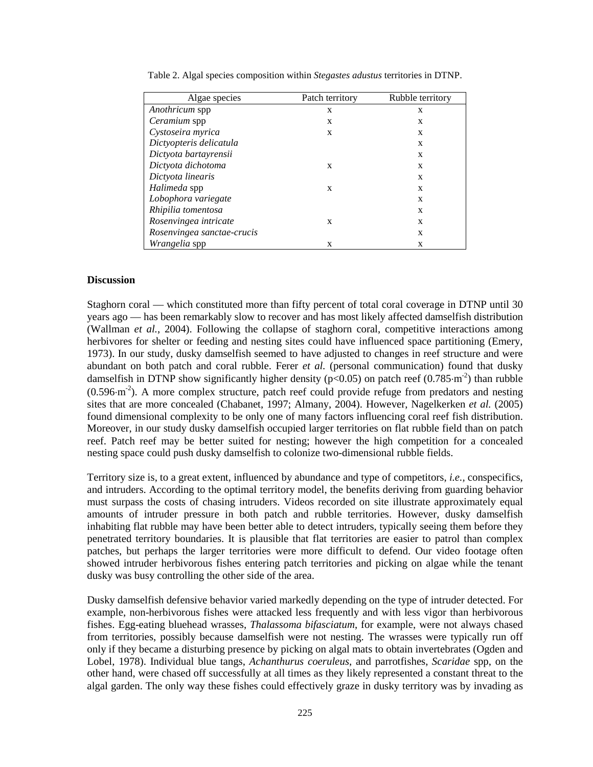| Algae species              | Patch territory | Rubble territory |
|----------------------------|-----------------|------------------|
| Anothricum spp             | X               | X                |
| <i>Ceramium</i> spp        | X               | X                |
| Cystoseira myrica          | X               | X                |
| Dictyopteris delicatula    |                 | X                |
| Dictyota bartayrensii      |                 | X                |
| Dictyota dichotoma         | X               | X                |
| Dictyota linearis          |                 | X                |
| Halimeda spp               | X               | X                |
| Lobophora variegate        |                 | X                |
| Rhipilia tomentosa         |                 | X                |
| Rosenvingea intricate      | X               | X                |
| Rosenvingea sanctae-crucis |                 | X                |
| <i>Wrangelia</i> spp       | X               | X                |

Table 2. Algal species composition within *Stegastes adustus* territories in DTNP.

#### **Discussion**

Staghorn coral — which constituted more than fifty percent of total coral coverage in DTNP until 30 years ago — has been remarkably slow to recover and has most likely affected damselfish distribution (Wallman *et al.*, 2004). Following the collapse of staghorn coral, competitive interactions among herbivores for shelter or feeding and nesting sites could have influenced space partitioning (Emery, 1973). In our study, dusky damselfish seemed to have adjusted to changes in reef structure and were abundant on both patch and coral rubble. Ferer *et al.* (personal communication) found that dusky damselfish in DTNP show significantly higher density ( $p<0.05$ ) on patch reef (0.785⋅m<sup>-2</sup>) than rubble  $(0.596·m<sup>-2</sup>)$ . A more complex structure, patch reef could provide refuge from predators and nesting sites that are more concealed (Chabanet, 1997; Almany, 2004). However, Nagelkerken *et al.* (2005) found dimensional complexity to be only one of many factors influencing coral reef fish distribution. Moreover, in our study dusky damselfish occupied larger territories on flat rubble field than on patch reef. Patch reef may be better suited for nesting; however the high competition for a concealed nesting space could push dusky damselfish to colonize two-dimensional rubble fields.

Territory size is, to a great extent, influenced by abundance and type of competitors, *i.e.,* conspecifics, and intruders. According to the optimal territory model, the benefits deriving from guarding behavior must surpass the costs of chasing intruders. Videos recorded on site illustrate approximately equal amounts of intruder pressure in both patch and rubble territories. However, dusky damselfish inhabiting flat rubble may have been better able to detect intruders, typically seeing them before they penetrated territory boundaries. It is plausible that flat territories are easier to patrol than complex patches, but perhaps the larger territories were more difficult to defend. Our video footage often showed intruder herbivorous fishes entering patch territories and picking on algae while the tenant dusky was busy controlling the other side of the area.

Dusky damselfish defensive behavior varied markedly depending on the type of intruder detected. For example, non-herbivorous fishes were attacked less frequently and with less vigor than herbivorous fishes. Egg-eating bluehead wrasses, *Thalassoma bifasciatum*, for example, were not always chased from territories, possibly because damselfish were not nesting. The wrasses were typically run off only if they became a disturbing presence by picking on algal mats to obtain invertebrates (Ogden and Lobel, 1978). Individual blue tangs, *Achanthurus coeruleus*, and parrotfishes, *Scaridae* spp, on the other hand, were chased off successfully at all times as they likely represented a constant threat to the algal garden. The only way these fishes could effectively graze in dusky territory was by invading as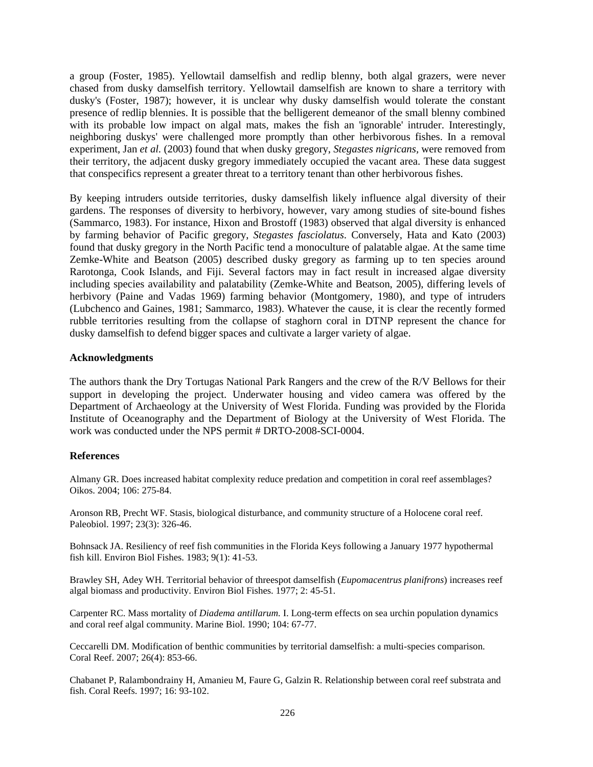a group (Foster, 1985). Yellowtail damselfish and redlip blenny, both algal grazers, were never chased from dusky damselfish territory. Yellowtail damselfish are known to share a territory with dusky's (Foster, 1987); however, it is unclear why dusky damselfish would tolerate the constant presence of redlip blennies. It is possible that the belligerent demeanor of the small blenny combined with its probable low impact on algal mats, makes the fish an 'ignorable' intruder. Interestingly, neighboring duskys' were challenged more promptly than other herbivorous fishes. In a removal experiment, Jan *et al.* (2003) found that when dusky gregory, *Stegastes nigricans,* were removed from their territory, the adjacent dusky gregory immediately occupied the vacant area. These data suggest that conspecifics represent a greater threat to a territory tenant than other herbivorous fishes.

By keeping intruders outside territories, dusky damselfish likely influence algal diversity of their gardens. The responses of diversity to herbivory, however, vary among studies of site-bound fishes (Sammarco, 1983). For instance, Hixon and Brostoff (1983) observed that algal diversity is enhanced by farming behavior of Pacific gregory, *Stegastes fasciolatus*. Conversely, Hata and Kato (2003) found that dusky gregory in the North Pacific tend a monoculture of palatable algae. At the same time Zemke-White and Beatson (2005) described dusky gregory as farming up to ten species around Rarotonga, Cook Islands, and Fiji. Several factors may in fact result in increased algae diversity including species availability and palatability (Zemke-White and Beatson, 2005), differing levels of herbivory (Paine and Vadas 1969) farming behavior (Montgomery, 1980), and type of intruders (Lubchenco and Gaines, 1981; Sammarco, 1983). Whatever the cause, it is clear the recently formed rubble territories resulting from the collapse of staghorn coral in DTNP represent the chance for dusky damselfish to defend bigger spaces and cultivate a larger variety of algae.

## **Acknowledgments**

The authors thank the Dry Tortugas National Park Rangers and the crew of the R/V Bellows for their support in developing the project. Underwater housing and video camera was offered by the Department of Archaeology at the University of West Florida. Funding was provided by the Florida Institute of Oceanography and the Department of Biology at the University of West Florida. The work was conducted under the NPS permit # DRTO-2008-SCI-0004.

## **References**

Almany GR. Does increased habitat complexity reduce predation and competition in coral reef assemblages? Oikos. 2004; 106: 275-84.

Aronson RB, Precht WF. Stasis, biological disturbance, and community structure of a Holocene coral reef. Paleobiol. 1997; 23(3): 326-46.

Bohnsack JA. Resiliency of reef fish communities in the Florida Keys following a January 1977 hypothermal fish kill. Environ Biol Fishes. 1983; 9(1): 41-53.

Brawley SH, Adey WH. Territorial behavior of threespot damselfish (*Eupomacentrus planifrons*) increases reef algal biomass and productivity. Environ Biol Fishes. 1977; 2: 45-51.

Carpenter RC. Mass mortality of *Diadema antillarum.* I. Long-term effects on sea urchin population dynamics and coral reef algal community. Marine Biol. 1990; 104: 67-77.

Ceccarelli DM. Modification of benthic communities by territorial damselfish: a multi-species comparison. Coral Reef. 2007; 26(4): 853-66.

Chabanet P, Ralambondrainy H, Amanieu M, Faure G, Galzin R. Relationship between coral reef substrata and fish. Coral Reefs. 1997; 16: 93-102.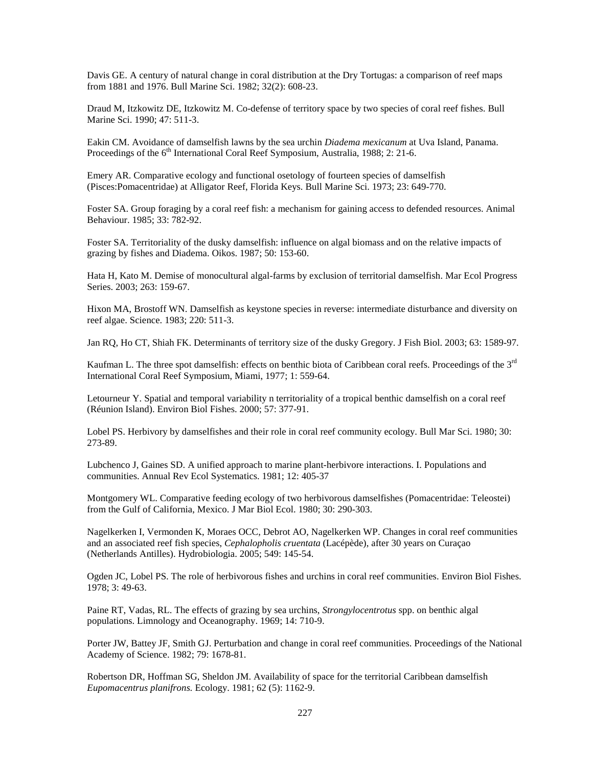Davis GE. A century of natural change in coral distribution at the Dry Tortugas: a comparison of reef maps from 1881 and 1976. Bull Marine Sci. 1982; 32(2): 608-23.

Draud M, Itzkowitz DE, Itzkowitz M. Co-defense of territory space by two species of coral reef fishes. Bull Marine Sci. 1990; 47: 511-3.

Eakin CM. Avoidance of damselfish lawns by the sea urchin *Diadema mexicanum* at Uva Island, Panama. Proceedings of the 6<sup>th</sup> International Coral Reef Symposium, Australia, 1988; 2: 21-6.

Emery AR. Comparative ecology and functional osetology of fourteen species of damselfish (Pisces:Pomacentridae) at Alligator Reef, Florida Keys. Bull Marine Sci. 1973; 23: 649-770.

Foster SA. Group foraging by a coral reef fish: a mechanism for gaining access to defended resources. Animal Behaviour. 1985; 33: 782-92.

Foster SA. Territoriality of the dusky damselfish: influence on algal biomass and on the relative impacts of grazing by fishes and Diadema. Oikos. 1987; 50: 153-60.

Hata H, Kato M. Demise of monocultural algal-farms by exclusion of territorial damselfish. Mar Ecol Progress Series. 2003; 263: 159-67.

Hixon MA, Brostoff WN. Damselfish as keystone species in reverse: intermediate disturbance and diversity on reef algae. Science. 1983; 220: 511-3.

Jan RQ, Ho CT, Shiah FK. Determinants of territory size of the dusky Gregory. J Fish Biol. 2003; 63: 1589-97.

Kaufman L. The three spot damselfish: effects on benthic biota of Caribbean coral reefs. Proceedings of the 3rd International Coral Reef Symposium, Miami, 1977; 1: 559-64.

Letourneur Y. Spatial and temporal variability n territoriality of a tropical benthic damselfish on a coral reef (Réunion Island). Environ Biol Fishes. 2000; 57: 377-91.

Lobel PS. Herbivory by damselfishes and their role in coral reef community ecology. Bull Mar Sci. 1980; 30: 273-89.

Lubchenco J, Gaines SD. A unified approach to marine plant-herbivore interactions. I. Populations and communities. Annual Rev Ecol Systematics. 1981; 12: 405-37

Montgomery WL. Comparative feeding ecology of two herbivorous damselfishes (Pomacentridae: Teleostei) from the Gulf of California, Mexico. J Mar Biol Ecol. 1980; 30: 290-303.

Nagelkerken I, Vermonden K, Moraes OCC, Debrot AO, Nagelkerken WP. Changes in coral reef communities and an associated reef fish species, *Cephalopholis cruentata* (Lacépède), after 30 years on Curaçao (Netherlands Antilles). Hydrobiologia. 2005; 549: 145-54.

Ogden JC, Lobel PS. The role of herbivorous fishes and urchins in coral reef communities. Environ Biol Fishes. 1978; 3: 49-63.

Paine RT, Vadas, RL. The effects of grazing by sea urchins, *Strongylocentrotus* spp. on benthic algal populations. Limnology and Oceanography. 1969; 14: 710-9.

Porter JW, Battey JF, Smith GJ. Perturbation and change in coral reef communities. Proceedings of the National Academy of Science. 1982; 79: 1678-81.

Robertson DR, Hoffman SG, Sheldon JM. Availability of space for the territorial Caribbean damselfish *Eupomacentrus planifrons.* Ecology. 1981; 62 (5): 1162-9.